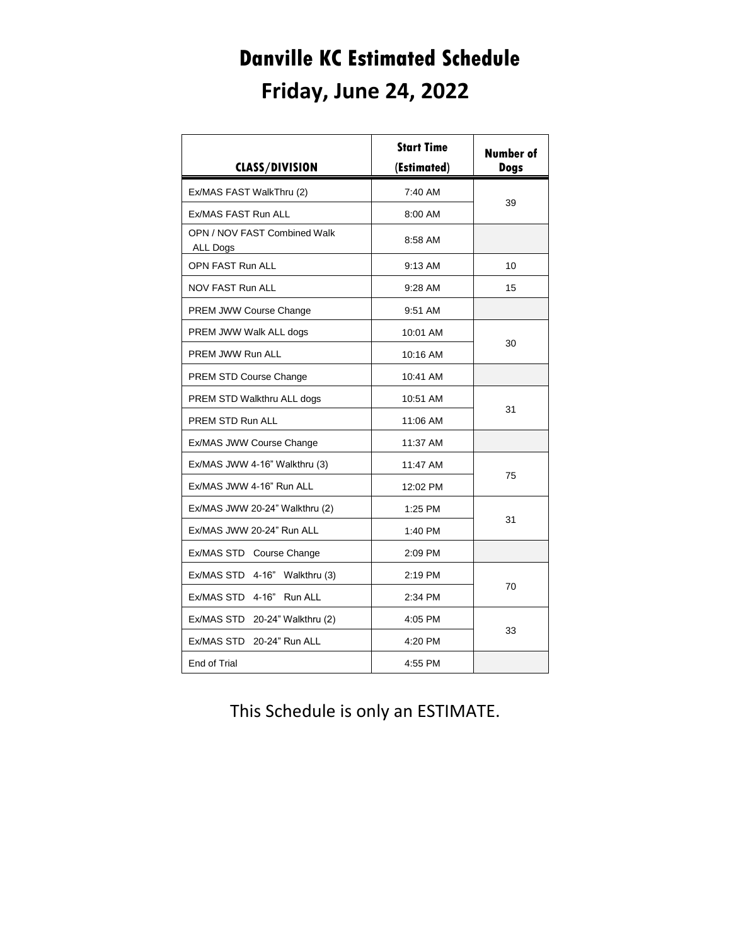## **Danville KC Estimated Schedule Friday, June 24, 2022**

| <b>CLASS/DIVISION</b>                           | <b>Start Time</b><br>(Estimated) | Number of<br>Dogs |
|-------------------------------------------------|----------------------------------|-------------------|
| Ex/MAS FAST WalkThru (2)                        | 7:40 AM                          |                   |
| Ex/MAS FAST Run ALL                             | 8:00 AM                          | 39                |
| <b>OPN / NOV FAST Combined Walk</b><br>ALL Dogs | 8:58 AM                          |                   |
| <b>OPN FAST Run ALL</b>                         | $9:13$ AM                        | 10                |
| <b>NOV FAST Run ALL</b>                         | $9:28$ AM                        | 15                |
| PREM JWW Course Change                          | 9:51 AM                          |                   |
| PREM JWW Walk ALL dogs                          | 10:01 AM                         |                   |
| PREM JWW Run ALL                                | 10:16 AM                         | 30                |
| PREM STD Course Change                          | 10:41 AM                         |                   |
| PREM STD Walkthru ALL dogs                      | 10:51 AM                         |                   |
| PREM STD Run ALL                                | 11:06 AM                         | 31                |
| Ex/MAS JWW Course Change                        | 11:37 AM                         |                   |
| Ex/MAS JWW 4-16" Walkthru (3)                   | 11:47 AM                         | 75                |
| Ex/MAS JWW 4-16" Run ALL                        | 12:02 PM                         |                   |
| Ex/MAS JWW 20-24" Walkthru (2)                  | $1:25$ PM                        | 31                |
| Ex/MAS JWW 20-24" Run ALL                       | 1:40 PM                          |                   |
| Ex/MAS STD Course Change                        | 2:09 PM                          |                   |
| Ex/MAS STD 4-16" Walkthru (3)                   | 2:19 PM                          | 70                |
| Ex/MAS STD 4-16" Run ALL                        | 2:34 PM                          |                   |
| Ex/MAS STD 20-24" Walkthru (2)                  | 4:05 PM                          | 33                |
| Ex/MAS STD 20-24" Run ALL                       | 4:20 PM                          |                   |
| End of Trial                                    | 4:55 PM                          |                   |

This Schedule is only an ESTIMATE.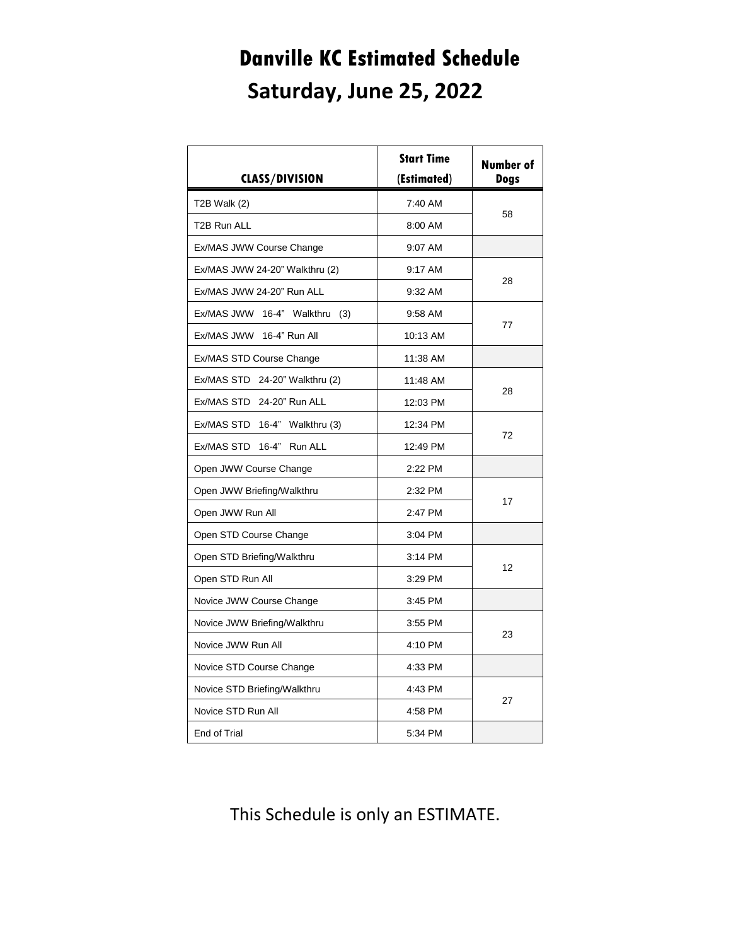## **Danville KC Estimated Schedule Saturday, June 25, 2022**

| <b>CLASS/DIVISION</b>            | <b>Start Time</b><br>(Estimated) | <b>Number of</b><br>Dogs |
|----------------------------------|----------------------------------|--------------------------|
| <b>T2B Walk (2)</b>              | 7:40 AM                          | 58                       |
| T2B Run ALL                      | 8:00 AM                          |                          |
| Ex/MAS JWW Course Change         | 9:07 AM                          |                          |
| Ex/MAS JWW 24-20" Walkthru (2)   | 9:17 AM                          | 28                       |
| Ex/MAS JWW 24-20" Run ALL        | 9:32 AM                          |                          |
| Ex/MAS JWW 16-4" Walkthru<br>(3) | 9:58 AM                          | 77                       |
| Ex/MAS JWW 16-4" Run All         | 10:13 AM                         |                          |
| Ex/MAS STD Course Change         | 11:38 AM                         |                          |
| Ex/MAS STD 24-20" Walkthru (2)   | 11:48 AM                         |                          |
| Ex/MAS STD 24-20" Run ALL        | 12:03 PM                         | 28                       |
| Ex/MAS STD 16-4" Walkthru (3)    | 12:34 PM                         | 72                       |
| Ex/MAS STD 16-4" Run ALL         | 12:49 PM                         |                          |
| Open JWW Course Change           | 2:22 PM                          |                          |
| Open JWW Briefing/Walkthru       | 2:32 PM                          | 17                       |
| Open JWW Run All                 | 2:47 PM                          |                          |
| Open STD Course Change           | 3:04 PM                          |                          |
| Open STD Briefing/Walkthru       | 3:14 PM                          | 12                       |
| Open STD Run All                 | 3:29 PM                          |                          |
| Novice JWW Course Change         | 3:45 PM                          |                          |
| Novice JWW Briefing/Walkthru     | 3:55 PM                          | 23                       |
| Novice JWW Run All               | 4:10 PM                          |                          |
| Novice STD Course Change         | 4:33 PM                          |                          |
| Novice STD Briefing/Walkthru     | 4:43 PM                          | 27                       |
| Novice STD Run All               | 4:58 PM                          |                          |
| End of Trial                     | 5:34 PM                          |                          |

This Schedule is only an ESTIMATE.